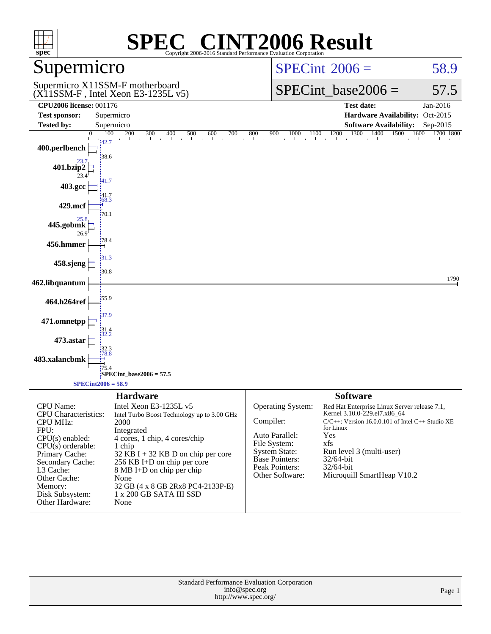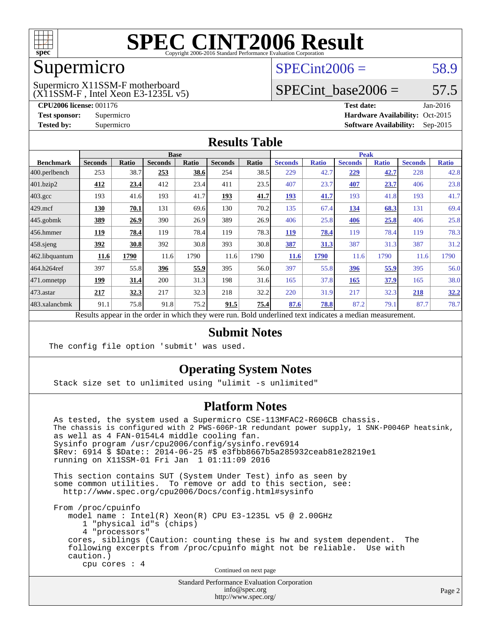

#### Supermicro

#### $SPECint2006 = 58.9$  $SPECint2006 = 58.9$

(X11SSM-F , Intel Xeon E3-1235L v5) Supermicro X11SSM-F motherboard

SPECint base2006 =  $57.5$ 

**[CPU2006 license:](http://www.spec.org/auto/cpu2006/Docs/result-fields.html#CPU2006license)** 001176 **[Test date:](http://www.spec.org/auto/cpu2006/Docs/result-fields.html#Testdate)** Jan-2016 **[Test sponsor:](http://www.spec.org/auto/cpu2006/Docs/result-fields.html#Testsponsor)** Supermicro Supermicro **[Hardware Availability:](http://www.spec.org/auto/cpu2006/Docs/result-fields.html#HardwareAvailability)** Oct-2015 **[Tested by:](http://www.spec.org/auto/cpu2006/Docs/result-fields.html#Testedby)** Supermicro **Supermicro [Software Availability:](http://www.spec.org/auto/cpu2006/Docs/result-fields.html#SoftwareAvailability)** Sep-2015

#### **[Results Table](http://www.spec.org/auto/cpu2006/Docs/result-fields.html#ResultsTable)**

|              | <b>Base</b>    |              |                |              |                | <b>Peak</b>  |                |              |                |              |  |
|--------------|----------------|--------------|----------------|--------------|----------------|--------------|----------------|--------------|----------------|--------------|--|
| <b>Ratio</b> | <b>Seconds</b> | <b>Ratio</b> | <b>Seconds</b> | <b>Ratio</b> | <b>Seconds</b> | <b>Ratio</b> | <b>Seconds</b> | <b>Ratio</b> | <b>Seconds</b> | <b>Ratio</b> |  |
| 38.7         | 253            | 38.6         | 254            | 38.5         | 229            | 42.7         | 229            | <u>42.7</u>  | 228            | 42.8         |  |
| 23.4         | 412            | 23.4         | 411            | 23.5         | 407            | 23.7         | 407            | 23.7         | 406            | 23.8         |  |
| 41.6         | 193            | 41.7         | <u>193</u>     | <u>41.7</u>  | <u>193</u>     | 41.7         | 193            | 41.8         | 193            | 41.7         |  |
| 70.1         | 131            | 69.6         | 130            | 70.2         | 135            | 67.4         | <u>134</u>     | 68.3         | 131            | 69.4         |  |
| 26.9         | 390            | 26.9         | 389            | 26.9         | 406            | 25.8         | 406            | 25.8         | 406            | 25.8         |  |
| 78.4         | 119            | 78.4         | 119            | 78.3         | <b>119</b>     | 78.4         | 119            | 78.4         | 119            | 78.3         |  |
| 30.8         | 392            | 30.8         | 393            | 30.8         | 387            | 31.3         | 387            | 31.3         | 387            | 31.2         |  |
| 1790         | 11.6           | 1790         | 11.6           | 1790         | 11.6           | 1790         | 11.6           | 1790         | 11.6           | 1790         |  |
| 55.8         | 396            | 55.9         | 395            | 56.0         | 397            | 55.8         | 396            | 55.9         | 395            | 56.0         |  |
| 31.4         | 200            | 31.3         | 198            | 31.6         | 165            | 37.8         | 165            | 37.9         | 165            | 38.0         |  |
| 32.3         | 217            | 32.3         | 218            | 32.2         | 220            | 31.9         | 217            | 32.3         | 218            | 32.2         |  |
| 75.8         | 91.8           | 75.2         | 91.5           | 75.4         | 87.6           | 78.8         | 87.2           | 79.1         | 87.7           | 78.7         |  |
|              |                |              |                |              |                |              |                |              |                |              |  |

Results appear in the [order in which they were run.](http://www.spec.org/auto/cpu2006/Docs/result-fields.html#RunOrder) Bold underlined text [indicates a median measurement.](http://www.spec.org/auto/cpu2006/Docs/result-fields.html#Median)

#### **[Submit Notes](http://www.spec.org/auto/cpu2006/Docs/result-fields.html#SubmitNotes)**

The config file option 'submit' was used.

#### **[Operating System Notes](http://www.spec.org/auto/cpu2006/Docs/result-fields.html#OperatingSystemNotes)**

Stack size set to unlimited using "ulimit -s unlimited"

#### **[Platform Notes](http://www.spec.org/auto/cpu2006/Docs/result-fields.html#PlatformNotes)**

 As tested, the system used a Supermicro CSE-113MFAC2-R606CB chassis. The chassis is configured with 2 PWS-606P-1R redundant power supply, 1 SNK-P0046P heatsink, as well as 4 FAN-0154L4 middle cooling fan. Sysinfo program /usr/cpu2006/config/sysinfo.rev6914 \$Rev: 6914 \$ \$Date:: 2014-06-25 #\$ e3fbb8667b5a285932ceab81e28219e1 running on X11SSM-01 Fri Jan 1 01:11:09 2016 This section contains SUT (System Under Test) info as seen by some common utilities. To remove or add to this section, see: <http://www.spec.org/cpu2006/Docs/config.html#sysinfo>

 From /proc/cpuinfo model name : Intel(R) Xeon(R) CPU E3-1235L v5 @ 2.00GHz 1 "physical id"s (chips) 4 "processors" cores, siblings (Caution: counting these is hw and system dependent. The following excerpts from /proc/cpuinfo might not be reliable. Use with caution.) cpu cores : 4

Continued on next page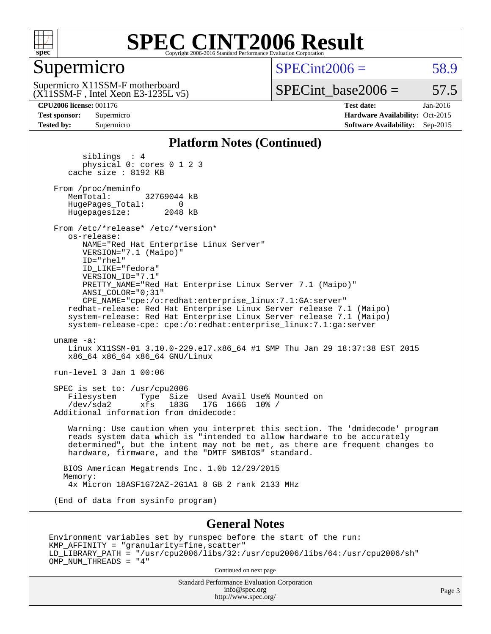

#### Supermicro

 $SPECint2006 = 58.9$  $SPECint2006 = 58.9$ 

(X11SSM-F , Intel Xeon E3-1235L v5) Supermicro X11SSM-F motherboard

SPECint base2006 =  $57.5$ 

**[CPU2006 license:](http://www.spec.org/auto/cpu2006/Docs/result-fields.html#CPU2006license)** 001176 **[Test date:](http://www.spec.org/auto/cpu2006/Docs/result-fields.html#Testdate)** Jan-2016 **[Test sponsor:](http://www.spec.org/auto/cpu2006/Docs/result-fields.html#Testsponsor)** Supermicro Supermicro **[Hardware Availability:](http://www.spec.org/auto/cpu2006/Docs/result-fields.html#HardwareAvailability)** Oct-2015 **[Tested by:](http://www.spec.org/auto/cpu2006/Docs/result-fields.html#Testedby)** Supermicro **[Software Availability:](http://www.spec.org/auto/cpu2006/Docs/result-fields.html#SoftwareAvailability)** Sep-2015

#### **[Platform Notes \(Continued\)](http://www.spec.org/auto/cpu2006/Docs/result-fields.html#PlatformNotes)**

 siblings : 4 physical 0: cores 0 1 2 3 cache size : 8192 KB From /proc/meminfo<br>MemTotal: 32769044 kB HugePages\_Total: 0<br>Hugepagesize: 2048 kB Hugepagesize: From /etc/\*release\* /etc/\*version\* os-release: NAME="Red Hat Enterprise Linux Server" VERSION="7.1 (Maipo)" ID="rhel" ID\_LIKE="fedora" VERSION\_ID="7.1" PRETTY\_NAME="Red Hat Enterprise Linux Server 7.1 (Maipo)" ANSI\_COLOR="0;31" CPE\_NAME="cpe:/o:redhat:enterprise\_linux:7.1:GA:server" redhat-release: Red Hat Enterprise Linux Server release 7.1 (Maipo) system-release: Red Hat Enterprise Linux Server release 7.1 (Maipo) system-release-cpe: cpe:/o:redhat:enterprise\_linux:7.1:ga:server uname -a: Linux X11SSM-01 3.10.0-229.el7.x86\_64 #1 SMP Thu Jan 29 18:37:38 EST 2015 x86\_64 x86\_64 x86\_64 GNU/Linux run-level 3 Jan 1 00:06 SPEC is set to: /usr/cpu2006 Filesystem Type Size Used Avail Use% Mounted on<br>
/dev/sda2 xfs 183G 17G 166G 10% /  $xfs$  183G 17G 166G 10% / Additional information from dmidecode: Warning: Use caution when you interpret this section. The 'dmidecode' program reads system data which is "intended to allow hardware to be accurately determined", but the intent may not be met, as there are frequent changes to hardware, firmware, and the "DMTF SMBIOS" standard. BIOS American Megatrends Inc. 1.0b 12/29/2015 Memory: 4x Micron 18ASF1G72AZ-2G1A1 8 GB 2 rank 2133 MHz (End of data from sysinfo program) **[General Notes](http://www.spec.org/auto/cpu2006/Docs/result-fields.html#GeneralNotes)**

Environment variables set by runspec before the start of the run: KMP\_AFFINITY = "granularity=fine,scatter" LD\_LIBRARY\_PATH = "/usr/cpu2006/libs/32:/usr/cpu2006/libs/64:/usr/cpu2006/sh" OMP\_NUM\_THREADS = "4"

Continued on next page

Standard Performance Evaluation Corporation [info@spec.org](mailto:info@spec.org) <http://www.spec.org/>

Page 3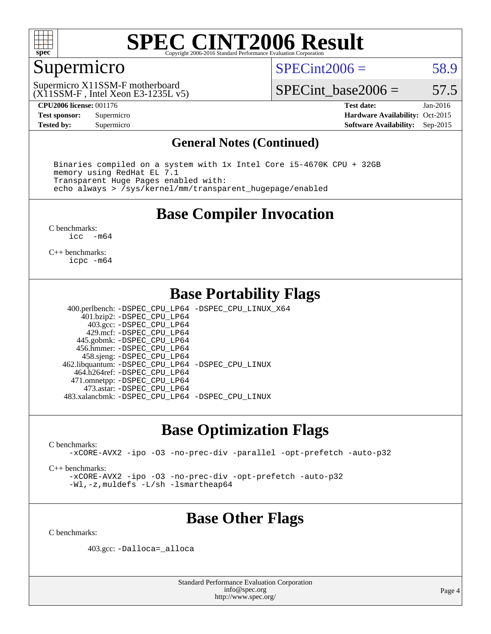

### Supermicro

 $SPECint2006 = 58.9$  $SPECint2006 = 58.9$ 

(X11SSM-F , Intel Xeon E3-1235L v5) Supermicro X11SSM-F motherboard

SPECint base2006 =  $57.5$ 

**[CPU2006 license:](http://www.spec.org/auto/cpu2006/Docs/result-fields.html#CPU2006license)** 001176 **[Test date:](http://www.spec.org/auto/cpu2006/Docs/result-fields.html#Testdate)** Jan-2016 **[Test sponsor:](http://www.spec.org/auto/cpu2006/Docs/result-fields.html#Testsponsor)** Supermicro Supermicro **[Hardware Availability:](http://www.spec.org/auto/cpu2006/Docs/result-fields.html#HardwareAvailability)** Oct-2015 **[Tested by:](http://www.spec.org/auto/cpu2006/Docs/result-fields.html#Testedby)** Supermicro **Supermicro [Software Availability:](http://www.spec.org/auto/cpu2006/Docs/result-fields.html#SoftwareAvailability)** Sep-2015

#### **[General Notes \(Continued\)](http://www.spec.org/auto/cpu2006/Docs/result-fields.html#GeneralNotes)**

 Binaries compiled on a system with 1x Intel Core i5-4670K CPU + 32GB memory using RedHat EL 7.1 Transparent Huge Pages enabled with: echo always > /sys/kernel/mm/transparent\_hugepage/enabled

#### **[Base Compiler Invocation](http://www.spec.org/auto/cpu2006/Docs/result-fields.html#BaseCompilerInvocation)**

[C benchmarks](http://www.spec.org/auto/cpu2006/Docs/result-fields.html#Cbenchmarks):<br> $i_{\text{CC}}$  –  $-m64$ 

[C++ benchmarks:](http://www.spec.org/auto/cpu2006/Docs/result-fields.html#CXXbenchmarks) [icpc -m64](http://www.spec.org/cpu2006/results/res2016q1/cpu2006-20160106-38558.flags.html#user_CXXbase_intel_icpc_64bit_fc66a5337ce925472a5c54ad6a0de310)

#### **[Base Portability Flags](http://www.spec.org/auto/cpu2006/Docs/result-fields.html#BasePortabilityFlags)**

 400.perlbench: [-DSPEC\\_CPU\\_LP64](http://www.spec.org/cpu2006/results/res2016q1/cpu2006-20160106-38558.flags.html#b400.perlbench_basePORTABILITY_DSPEC_CPU_LP64) [-DSPEC\\_CPU\\_LINUX\\_X64](http://www.spec.org/cpu2006/results/res2016q1/cpu2006-20160106-38558.flags.html#b400.perlbench_baseCPORTABILITY_DSPEC_CPU_LINUX_X64) 401.bzip2: [-DSPEC\\_CPU\\_LP64](http://www.spec.org/cpu2006/results/res2016q1/cpu2006-20160106-38558.flags.html#suite_basePORTABILITY401_bzip2_DSPEC_CPU_LP64) 403.gcc: [-DSPEC\\_CPU\\_LP64](http://www.spec.org/cpu2006/results/res2016q1/cpu2006-20160106-38558.flags.html#suite_basePORTABILITY403_gcc_DSPEC_CPU_LP64) 429.mcf: [-DSPEC\\_CPU\\_LP64](http://www.spec.org/cpu2006/results/res2016q1/cpu2006-20160106-38558.flags.html#suite_basePORTABILITY429_mcf_DSPEC_CPU_LP64) 445.gobmk: [-DSPEC\\_CPU\\_LP64](http://www.spec.org/cpu2006/results/res2016q1/cpu2006-20160106-38558.flags.html#suite_basePORTABILITY445_gobmk_DSPEC_CPU_LP64) 456.hmmer: [-DSPEC\\_CPU\\_LP64](http://www.spec.org/cpu2006/results/res2016q1/cpu2006-20160106-38558.flags.html#suite_basePORTABILITY456_hmmer_DSPEC_CPU_LP64) 458.sjeng: [-DSPEC\\_CPU\\_LP64](http://www.spec.org/cpu2006/results/res2016q1/cpu2006-20160106-38558.flags.html#suite_basePORTABILITY458_sjeng_DSPEC_CPU_LP64) 462.libquantum: [-DSPEC\\_CPU\\_LP64](http://www.spec.org/cpu2006/results/res2016q1/cpu2006-20160106-38558.flags.html#suite_basePORTABILITY462_libquantum_DSPEC_CPU_LP64) [-DSPEC\\_CPU\\_LINUX](http://www.spec.org/cpu2006/results/res2016q1/cpu2006-20160106-38558.flags.html#b462.libquantum_baseCPORTABILITY_DSPEC_CPU_LINUX) 464.h264ref: [-DSPEC\\_CPU\\_LP64](http://www.spec.org/cpu2006/results/res2016q1/cpu2006-20160106-38558.flags.html#suite_basePORTABILITY464_h264ref_DSPEC_CPU_LP64) 471.omnetpp: [-DSPEC\\_CPU\\_LP64](http://www.spec.org/cpu2006/results/res2016q1/cpu2006-20160106-38558.flags.html#suite_basePORTABILITY471_omnetpp_DSPEC_CPU_LP64) 473.astar: [-DSPEC\\_CPU\\_LP64](http://www.spec.org/cpu2006/results/res2016q1/cpu2006-20160106-38558.flags.html#suite_basePORTABILITY473_astar_DSPEC_CPU_LP64) 483.xalancbmk: [-DSPEC\\_CPU\\_LP64](http://www.spec.org/cpu2006/results/res2016q1/cpu2006-20160106-38558.flags.html#suite_basePORTABILITY483_xalancbmk_DSPEC_CPU_LP64) [-DSPEC\\_CPU\\_LINUX](http://www.spec.org/cpu2006/results/res2016q1/cpu2006-20160106-38558.flags.html#b483.xalancbmk_baseCXXPORTABILITY_DSPEC_CPU_LINUX)

### **[Base Optimization Flags](http://www.spec.org/auto/cpu2006/Docs/result-fields.html#BaseOptimizationFlags)**

[C benchmarks](http://www.spec.org/auto/cpu2006/Docs/result-fields.html#Cbenchmarks):

[-xCORE-AVX2](http://www.spec.org/cpu2006/results/res2016q1/cpu2006-20160106-38558.flags.html#user_CCbase_f-xAVX2_5f5fc0cbe2c9f62c816d3e45806c70d7) [-ipo](http://www.spec.org/cpu2006/results/res2016q1/cpu2006-20160106-38558.flags.html#user_CCbase_f-ipo) [-O3](http://www.spec.org/cpu2006/results/res2016q1/cpu2006-20160106-38558.flags.html#user_CCbase_f-O3) [-no-prec-div](http://www.spec.org/cpu2006/results/res2016q1/cpu2006-20160106-38558.flags.html#user_CCbase_f-no-prec-div) [-parallel](http://www.spec.org/cpu2006/results/res2016q1/cpu2006-20160106-38558.flags.html#user_CCbase_f-parallel) [-opt-prefetch](http://www.spec.org/cpu2006/results/res2016q1/cpu2006-20160106-38558.flags.html#user_CCbase_f-opt-prefetch) [-auto-p32](http://www.spec.org/cpu2006/results/res2016q1/cpu2006-20160106-38558.flags.html#user_CCbase_f-auto-p32)

[C++ benchmarks:](http://www.spec.org/auto/cpu2006/Docs/result-fields.html#CXXbenchmarks)

[-xCORE-AVX2](http://www.spec.org/cpu2006/results/res2016q1/cpu2006-20160106-38558.flags.html#user_CXXbase_f-xAVX2_5f5fc0cbe2c9f62c816d3e45806c70d7) [-ipo](http://www.spec.org/cpu2006/results/res2016q1/cpu2006-20160106-38558.flags.html#user_CXXbase_f-ipo) [-O3](http://www.spec.org/cpu2006/results/res2016q1/cpu2006-20160106-38558.flags.html#user_CXXbase_f-O3) [-no-prec-div](http://www.spec.org/cpu2006/results/res2016q1/cpu2006-20160106-38558.flags.html#user_CXXbase_f-no-prec-div) [-opt-prefetch](http://www.spec.org/cpu2006/results/res2016q1/cpu2006-20160106-38558.flags.html#user_CXXbase_f-opt-prefetch) [-auto-p32](http://www.spec.org/cpu2006/results/res2016q1/cpu2006-20160106-38558.flags.html#user_CXXbase_f-auto-p32) [-Wl,-z,muldefs](http://www.spec.org/cpu2006/results/res2016q1/cpu2006-20160106-38558.flags.html#user_CXXbase_link_force_multiple1_74079c344b956b9658436fd1b6dd3a8a) [-L/sh -lsmartheap64](http://www.spec.org/cpu2006/results/res2016q1/cpu2006-20160106-38558.flags.html#user_CXXbase_SmartHeap64_ed4ef857ce90951921efb0d91eb88472)

## **[Base Other Flags](http://www.spec.org/auto/cpu2006/Docs/result-fields.html#BaseOtherFlags)**

[C benchmarks](http://www.spec.org/auto/cpu2006/Docs/result-fields.html#Cbenchmarks):

403.gcc: [-Dalloca=\\_alloca](http://www.spec.org/cpu2006/results/res2016q1/cpu2006-20160106-38558.flags.html#b403.gcc_baseEXTRA_CFLAGS_Dalloca_be3056838c12de2578596ca5467af7f3)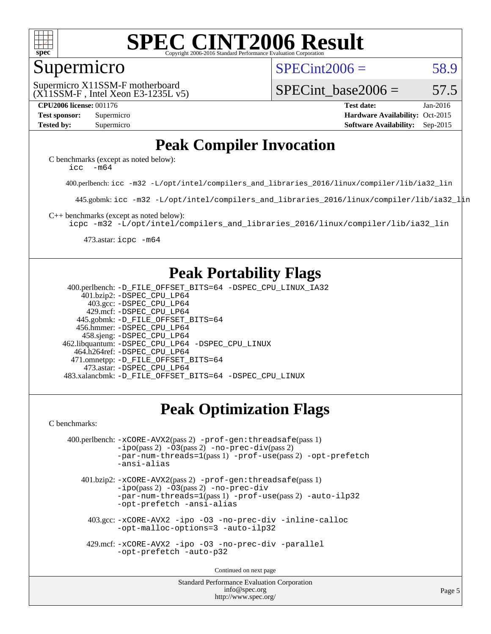

#### Supermicro

 $SPECint2006 = 58.9$  $SPECint2006 = 58.9$ 

(X11SSM-F , Intel Xeon E3-1235L v5) Supermicro X11SSM-F motherboard

SPECint base2006 =  $57.5$ 

**[CPU2006 license:](http://www.spec.org/auto/cpu2006/Docs/result-fields.html#CPU2006license)** 001176 **[Test date:](http://www.spec.org/auto/cpu2006/Docs/result-fields.html#Testdate)** Jan-2016 **[Test sponsor:](http://www.spec.org/auto/cpu2006/Docs/result-fields.html#Testsponsor)** Supermicro Supermicro **[Hardware Availability:](http://www.spec.org/auto/cpu2006/Docs/result-fields.html#HardwareAvailability)** Oct-2015 **[Tested by:](http://www.spec.org/auto/cpu2006/Docs/result-fields.html#Testedby)** Supermicro **Supermicro [Software Availability:](http://www.spec.org/auto/cpu2006/Docs/result-fields.html#SoftwareAvailability)** Sep-2015

## **[Peak Compiler Invocation](http://www.spec.org/auto/cpu2006/Docs/result-fields.html#PeakCompilerInvocation)**

[C benchmarks \(except as noted below\)](http://www.spec.org/auto/cpu2006/Docs/result-fields.html#Cbenchmarksexceptasnotedbelow): icc  $-m64$ 

400.perlbench: [icc -m32 -L/opt/intel/compilers\\_and\\_libraries\\_2016/linux/compiler/lib/ia32\\_lin](http://www.spec.org/cpu2006/results/res2016q1/cpu2006-20160106-38558.flags.html#user_peakCCLD400_perlbench_intel_icc_e10256ba5924b668798078a321b0cb3f)

445.gobmk: [icc -m32 -L/opt/intel/compilers\\_and\\_libraries\\_2016/linux/compiler/lib/ia32\\_lin](http://www.spec.org/cpu2006/results/res2016q1/cpu2006-20160106-38558.flags.html#user_peakCCLD445_gobmk_intel_icc_e10256ba5924b668798078a321b0cb3f)

[C++ benchmarks \(except as noted below\):](http://www.spec.org/auto/cpu2006/Docs/result-fields.html#CXXbenchmarksexceptasnotedbelow)

[icpc -m32 -L/opt/intel/compilers\\_and\\_libraries\\_2016/linux/compiler/lib/ia32\\_lin](http://www.spec.org/cpu2006/results/res2016q1/cpu2006-20160106-38558.flags.html#user_CXXpeak_intel_icpc_b4f50a394bdb4597aa5879c16bc3f5c5)

473.astar: [icpc -m64](http://www.spec.org/cpu2006/results/res2016q1/cpu2006-20160106-38558.flags.html#user_peakCXXLD473_astar_intel_icpc_64bit_fc66a5337ce925472a5c54ad6a0de310)

### **[Peak Portability Flags](http://www.spec.org/auto/cpu2006/Docs/result-fields.html#PeakPortabilityFlags)**

 400.perlbench: [-D\\_FILE\\_OFFSET\\_BITS=64](http://www.spec.org/cpu2006/results/res2016q1/cpu2006-20160106-38558.flags.html#user_peakPORTABILITY400_perlbench_file_offset_bits_64_438cf9856305ebd76870a2c6dc2689ab) [-DSPEC\\_CPU\\_LINUX\\_IA32](http://www.spec.org/cpu2006/results/res2016q1/cpu2006-20160106-38558.flags.html#b400.perlbench_peakCPORTABILITY_DSPEC_CPU_LINUX_IA32) 401.bzip2: [-DSPEC\\_CPU\\_LP64](http://www.spec.org/cpu2006/results/res2016q1/cpu2006-20160106-38558.flags.html#suite_peakPORTABILITY401_bzip2_DSPEC_CPU_LP64) 403.gcc: [-DSPEC\\_CPU\\_LP64](http://www.spec.org/cpu2006/results/res2016q1/cpu2006-20160106-38558.flags.html#suite_peakPORTABILITY403_gcc_DSPEC_CPU_LP64) 429.mcf: [-DSPEC\\_CPU\\_LP64](http://www.spec.org/cpu2006/results/res2016q1/cpu2006-20160106-38558.flags.html#suite_peakPORTABILITY429_mcf_DSPEC_CPU_LP64) 445.gobmk: [-D\\_FILE\\_OFFSET\\_BITS=64](http://www.spec.org/cpu2006/results/res2016q1/cpu2006-20160106-38558.flags.html#user_peakPORTABILITY445_gobmk_file_offset_bits_64_438cf9856305ebd76870a2c6dc2689ab) 456.hmmer: [-DSPEC\\_CPU\\_LP64](http://www.spec.org/cpu2006/results/res2016q1/cpu2006-20160106-38558.flags.html#suite_peakPORTABILITY456_hmmer_DSPEC_CPU_LP64) 458.sjeng: [-DSPEC\\_CPU\\_LP64](http://www.spec.org/cpu2006/results/res2016q1/cpu2006-20160106-38558.flags.html#suite_peakPORTABILITY458_sjeng_DSPEC_CPU_LP64) 462.libquantum: [-DSPEC\\_CPU\\_LP64](http://www.spec.org/cpu2006/results/res2016q1/cpu2006-20160106-38558.flags.html#suite_peakPORTABILITY462_libquantum_DSPEC_CPU_LP64) [-DSPEC\\_CPU\\_LINUX](http://www.spec.org/cpu2006/results/res2016q1/cpu2006-20160106-38558.flags.html#b462.libquantum_peakCPORTABILITY_DSPEC_CPU_LINUX) 464.h264ref: [-DSPEC\\_CPU\\_LP64](http://www.spec.org/cpu2006/results/res2016q1/cpu2006-20160106-38558.flags.html#suite_peakPORTABILITY464_h264ref_DSPEC_CPU_LP64) 471.omnetpp: [-D\\_FILE\\_OFFSET\\_BITS=64](http://www.spec.org/cpu2006/results/res2016q1/cpu2006-20160106-38558.flags.html#user_peakPORTABILITY471_omnetpp_file_offset_bits_64_438cf9856305ebd76870a2c6dc2689ab) 473.astar: [-DSPEC\\_CPU\\_LP64](http://www.spec.org/cpu2006/results/res2016q1/cpu2006-20160106-38558.flags.html#suite_peakPORTABILITY473_astar_DSPEC_CPU_LP64) 483.xalancbmk: [-D\\_FILE\\_OFFSET\\_BITS=64](http://www.spec.org/cpu2006/results/res2016q1/cpu2006-20160106-38558.flags.html#user_peakPORTABILITY483_xalancbmk_file_offset_bits_64_438cf9856305ebd76870a2c6dc2689ab) [-DSPEC\\_CPU\\_LINUX](http://www.spec.org/cpu2006/results/res2016q1/cpu2006-20160106-38558.flags.html#b483.xalancbmk_peakCXXPORTABILITY_DSPEC_CPU_LINUX)

## **[Peak Optimization Flags](http://www.spec.org/auto/cpu2006/Docs/result-fields.html#PeakOptimizationFlags)**

[C benchmarks](http://www.spec.org/auto/cpu2006/Docs/result-fields.html#Cbenchmarks):

```
 400.perlbench: -xCORE-AVX2(pass 2) -prof-gen:threadsafe(pass 1)
          -no-prec-div(pass 2)-par-num-threads=1(pass 1) -prof-use(pass 2) -opt-prefetch
          -ansi-alias
```
 401.bzip2: [-xCORE-AVX2](http://www.spec.org/cpu2006/results/res2016q1/cpu2006-20160106-38558.flags.html#user_peakPASS2_CFLAGSPASS2_LDCFLAGS401_bzip2_f-xAVX2_5f5fc0cbe2c9f62c816d3e45806c70d7)(pass 2) [-prof-gen:threadsafe](http://www.spec.org/cpu2006/results/res2016q1/cpu2006-20160106-38558.flags.html#user_peakPASS1_CFLAGSPASS1_LDCFLAGS401_bzip2_prof_gen_21a26eb79f378b550acd7bec9fe4467a)(pass 1)  $-i\text{po}(pass 2) -03(pass 2) -no-prec-div$  $-i\text{po}(pass 2) -03(pass 2) -no-prec-div$ [-par-num-threads=1](http://www.spec.org/cpu2006/results/res2016q1/cpu2006-20160106-38558.flags.html#user_peakPASS1_CFLAGSPASS1_LDCFLAGS401_bzip2_par_num_threads_786a6ff141b4e9e90432e998842df6c2)(pass 1) [-prof-use](http://www.spec.org/cpu2006/results/res2016q1/cpu2006-20160106-38558.flags.html#user_peakPASS2_CFLAGSPASS2_LDCFLAGS401_bzip2_prof_use_bccf7792157ff70d64e32fe3e1250b55)(pass 2) [-auto-ilp32](http://www.spec.org/cpu2006/results/res2016q1/cpu2006-20160106-38558.flags.html#user_peakCOPTIMIZE401_bzip2_f-auto-ilp32) [-opt-prefetch](http://www.spec.org/cpu2006/results/res2016q1/cpu2006-20160106-38558.flags.html#user_peakCOPTIMIZE401_bzip2_f-opt-prefetch) [-ansi-alias](http://www.spec.org/cpu2006/results/res2016q1/cpu2006-20160106-38558.flags.html#user_peakCOPTIMIZE401_bzip2_f-ansi-alias)

 403.gcc: [-xCORE-AVX2](http://www.spec.org/cpu2006/results/res2016q1/cpu2006-20160106-38558.flags.html#user_peakCOPTIMIZE403_gcc_f-xAVX2_5f5fc0cbe2c9f62c816d3e45806c70d7) [-ipo](http://www.spec.org/cpu2006/results/res2016q1/cpu2006-20160106-38558.flags.html#user_peakCOPTIMIZE403_gcc_f-ipo) [-O3](http://www.spec.org/cpu2006/results/res2016q1/cpu2006-20160106-38558.flags.html#user_peakCOPTIMIZE403_gcc_f-O3) [-no-prec-div](http://www.spec.org/cpu2006/results/res2016q1/cpu2006-20160106-38558.flags.html#user_peakCOPTIMIZE403_gcc_f-no-prec-div) [-inline-calloc](http://www.spec.org/cpu2006/results/res2016q1/cpu2006-20160106-38558.flags.html#user_peakCOPTIMIZE403_gcc_f-inline-calloc) [-opt-malloc-options=3](http://www.spec.org/cpu2006/results/res2016q1/cpu2006-20160106-38558.flags.html#user_peakCOPTIMIZE403_gcc_f-opt-malloc-options_13ab9b803cf986b4ee62f0a5998c2238) [-auto-ilp32](http://www.spec.org/cpu2006/results/res2016q1/cpu2006-20160106-38558.flags.html#user_peakCOPTIMIZE403_gcc_f-auto-ilp32)

 429.mcf: [-xCORE-AVX2](http://www.spec.org/cpu2006/results/res2016q1/cpu2006-20160106-38558.flags.html#user_peakCOPTIMIZE429_mcf_f-xAVX2_5f5fc0cbe2c9f62c816d3e45806c70d7) [-ipo](http://www.spec.org/cpu2006/results/res2016q1/cpu2006-20160106-38558.flags.html#user_peakCOPTIMIZE429_mcf_f-ipo) [-O3](http://www.spec.org/cpu2006/results/res2016q1/cpu2006-20160106-38558.flags.html#user_peakCOPTIMIZE429_mcf_f-O3) [-no-prec-div](http://www.spec.org/cpu2006/results/res2016q1/cpu2006-20160106-38558.flags.html#user_peakCOPTIMIZE429_mcf_f-no-prec-div) [-parallel](http://www.spec.org/cpu2006/results/res2016q1/cpu2006-20160106-38558.flags.html#user_peakCOPTIMIZE429_mcf_f-parallel) [-opt-prefetch](http://www.spec.org/cpu2006/results/res2016q1/cpu2006-20160106-38558.flags.html#user_peakCOPTIMIZE429_mcf_f-opt-prefetch) [-auto-p32](http://www.spec.org/cpu2006/results/res2016q1/cpu2006-20160106-38558.flags.html#user_peakCOPTIMIZE429_mcf_f-auto-p32)

Continued on next page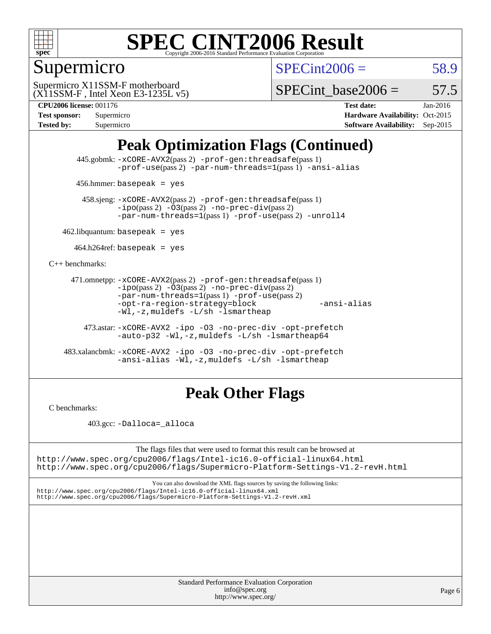

## Supermicro

 $SPECint2006 = 58.9$  $SPECint2006 = 58.9$ 

(X11SSM-F , Intel Xeon E3-1235L v5) Supermicro X11SSM-F motherboard

SPECint base2006 =  $57.5$ 

**[CPU2006 license:](http://www.spec.org/auto/cpu2006/Docs/result-fields.html#CPU2006license)** 001176 **[Test date:](http://www.spec.org/auto/cpu2006/Docs/result-fields.html#Testdate)** Jan-2016

| <b>Test sponsor:</b> | Supermicro |
|----------------------|------------|
| <b>Tested by:</b>    | Supermicro |

**[Hardware Availability:](http://www.spec.org/auto/cpu2006/Docs/result-fields.html#HardwareAvailability)** Oct-2015 **[Software Availability:](http://www.spec.org/auto/cpu2006/Docs/result-fields.html#SoftwareAvailability)** Sep-2015

## **[Peak Optimization Flags \(Continued\)](http://www.spec.org/auto/cpu2006/Docs/result-fields.html#PeakOptimizationFlags)**

 445.gobmk: [-xCORE-AVX2](http://www.spec.org/cpu2006/results/res2016q1/cpu2006-20160106-38558.flags.html#user_peakPASS2_CFLAGSPASS2_LDCFLAGS445_gobmk_f-xAVX2_5f5fc0cbe2c9f62c816d3e45806c70d7)(pass 2) [-prof-gen:threadsafe](http://www.spec.org/cpu2006/results/res2016q1/cpu2006-20160106-38558.flags.html#user_peakPASS1_CFLAGSPASS1_LDCFLAGS445_gobmk_prof_gen_21a26eb79f378b550acd7bec9fe4467a)(pass 1) [-prof-use](http://www.spec.org/cpu2006/results/res2016q1/cpu2006-20160106-38558.flags.html#user_peakPASS2_CFLAGSPASS2_LDCFLAGS445_gobmk_prof_use_bccf7792157ff70d64e32fe3e1250b55)(pass 2) [-par-num-threads=1](http://www.spec.org/cpu2006/results/res2016q1/cpu2006-20160106-38558.flags.html#user_peakPASS1_CFLAGSPASS1_LDCFLAGS445_gobmk_par_num_threads_786a6ff141b4e9e90432e998842df6c2)(pass 1) [-ansi-alias](http://www.spec.org/cpu2006/results/res2016q1/cpu2006-20160106-38558.flags.html#user_peakCOPTIMIZE445_gobmk_f-ansi-alias)

456.hmmer: basepeak = yes

 458.sjeng: [-xCORE-AVX2](http://www.spec.org/cpu2006/results/res2016q1/cpu2006-20160106-38558.flags.html#user_peakPASS2_CFLAGSPASS2_LDCFLAGS458_sjeng_f-xAVX2_5f5fc0cbe2c9f62c816d3e45806c70d7)(pass 2) [-prof-gen:threadsafe](http://www.spec.org/cpu2006/results/res2016q1/cpu2006-20160106-38558.flags.html#user_peakPASS1_CFLAGSPASS1_LDCFLAGS458_sjeng_prof_gen_21a26eb79f378b550acd7bec9fe4467a)(pass 1)  $-ipo(pass 2) -\overline{O3(pass 2)}$  $-ipo(pass 2) -\overline{O3(pass 2)}$  [-no-prec-div](http://www.spec.org/cpu2006/results/res2016q1/cpu2006-20160106-38558.flags.html#user_peakPASS2_CFLAGSPASS2_LDCFLAGS458_sjeng_f-no-prec-div)(pass 2) [-par-num-threads=1](http://www.spec.org/cpu2006/results/res2016q1/cpu2006-20160106-38558.flags.html#user_peakPASS1_CFLAGSPASS1_LDCFLAGS458_sjeng_par_num_threads_786a6ff141b4e9e90432e998842df6c2)(pass 1) [-prof-use](http://www.spec.org/cpu2006/results/res2016q1/cpu2006-20160106-38558.flags.html#user_peakPASS2_CFLAGSPASS2_LDCFLAGS458_sjeng_prof_use_bccf7792157ff70d64e32fe3e1250b55)(pass 2) [-unroll4](http://www.spec.org/cpu2006/results/res2016q1/cpu2006-20160106-38558.flags.html#user_peakCOPTIMIZE458_sjeng_f-unroll_4e5e4ed65b7fd20bdcd365bec371b81f)

 $462$ .libquantum: basepeak = yes

 $464.h264$ ref: basepeak = yes

[C++ benchmarks:](http://www.spec.org/auto/cpu2006/Docs/result-fields.html#CXXbenchmarks)

```
 471.omnetpp: -xCORE-AVX2(pass 2) -prof-gen:threadsafe(pass 1)
          -i\text{po}(pass 2) -03(pass 2) -no-prec-div(pass 2)-par-num-threads=1(pass 1) -prof-use(pass 2)
          -opt-ra-region-strategy=block -ansi-alias
          -Wl,-z,muldefs -L/sh -lsmartheap
```
 473.astar: [-xCORE-AVX2](http://www.spec.org/cpu2006/results/res2016q1/cpu2006-20160106-38558.flags.html#user_peakCXXOPTIMIZE473_astar_f-xAVX2_5f5fc0cbe2c9f62c816d3e45806c70d7) [-ipo](http://www.spec.org/cpu2006/results/res2016q1/cpu2006-20160106-38558.flags.html#user_peakCXXOPTIMIZE473_astar_f-ipo) [-O3](http://www.spec.org/cpu2006/results/res2016q1/cpu2006-20160106-38558.flags.html#user_peakCXXOPTIMIZE473_astar_f-O3) [-no-prec-div](http://www.spec.org/cpu2006/results/res2016q1/cpu2006-20160106-38558.flags.html#user_peakCXXOPTIMIZE473_astar_f-no-prec-div) [-opt-prefetch](http://www.spec.org/cpu2006/results/res2016q1/cpu2006-20160106-38558.flags.html#user_peakCXXOPTIMIZE473_astar_f-opt-prefetch) [-auto-p32](http://www.spec.org/cpu2006/results/res2016q1/cpu2006-20160106-38558.flags.html#user_peakCXXOPTIMIZE473_astar_f-auto-p32) [-Wl,-z,muldefs](http://www.spec.org/cpu2006/results/res2016q1/cpu2006-20160106-38558.flags.html#user_peakEXTRA_LDFLAGS473_astar_link_force_multiple1_74079c344b956b9658436fd1b6dd3a8a) [-L/sh -lsmartheap64](http://www.spec.org/cpu2006/results/res2016q1/cpu2006-20160106-38558.flags.html#user_peakEXTRA_LIBS473_astar_SmartHeap64_ed4ef857ce90951921efb0d91eb88472)

 483.xalancbmk: [-xCORE-AVX2](http://www.spec.org/cpu2006/results/res2016q1/cpu2006-20160106-38558.flags.html#user_peakCXXOPTIMIZE483_xalancbmk_f-xAVX2_5f5fc0cbe2c9f62c816d3e45806c70d7) [-ipo](http://www.spec.org/cpu2006/results/res2016q1/cpu2006-20160106-38558.flags.html#user_peakCXXOPTIMIZE483_xalancbmk_f-ipo) [-O3](http://www.spec.org/cpu2006/results/res2016q1/cpu2006-20160106-38558.flags.html#user_peakCXXOPTIMIZE483_xalancbmk_f-O3) [-no-prec-div](http://www.spec.org/cpu2006/results/res2016q1/cpu2006-20160106-38558.flags.html#user_peakCXXOPTIMIZE483_xalancbmk_f-no-prec-div) [-opt-prefetch](http://www.spec.org/cpu2006/results/res2016q1/cpu2006-20160106-38558.flags.html#user_peakCXXOPTIMIZE483_xalancbmk_f-opt-prefetch) [-ansi-alias](http://www.spec.org/cpu2006/results/res2016q1/cpu2006-20160106-38558.flags.html#user_peakCXXOPTIMIZE483_xalancbmk_f-ansi-alias) [-Wl,-z,muldefs](http://www.spec.org/cpu2006/results/res2016q1/cpu2006-20160106-38558.flags.html#user_peakEXTRA_LDFLAGS483_xalancbmk_link_force_multiple1_74079c344b956b9658436fd1b6dd3a8a) [-L/sh -lsmartheap](http://www.spec.org/cpu2006/results/res2016q1/cpu2006-20160106-38558.flags.html#user_peakEXTRA_LIBS483_xalancbmk_SmartHeap_32f6c82aa1ed9c52345d30cf6e4a0499)

### **[Peak Other Flags](http://www.spec.org/auto/cpu2006/Docs/result-fields.html#PeakOtherFlags)**

[C benchmarks](http://www.spec.org/auto/cpu2006/Docs/result-fields.html#Cbenchmarks):

403.gcc: [-Dalloca=\\_alloca](http://www.spec.org/cpu2006/results/res2016q1/cpu2006-20160106-38558.flags.html#b403.gcc_peakEXTRA_CFLAGS_Dalloca_be3056838c12de2578596ca5467af7f3)

The flags files that were used to format this result can be browsed at <http://www.spec.org/cpu2006/flags/Intel-ic16.0-official-linux64.html>

<http://www.spec.org/cpu2006/flags/Supermicro-Platform-Settings-V1.2-revH.html>

You can also download the XML flags sources by saving the following links: <http://www.spec.org/cpu2006/flags/Intel-ic16.0-official-linux64.xml> <http://www.spec.org/cpu2006/flags/Supermicro-Platform-Settings-V1.2-revH.xml>